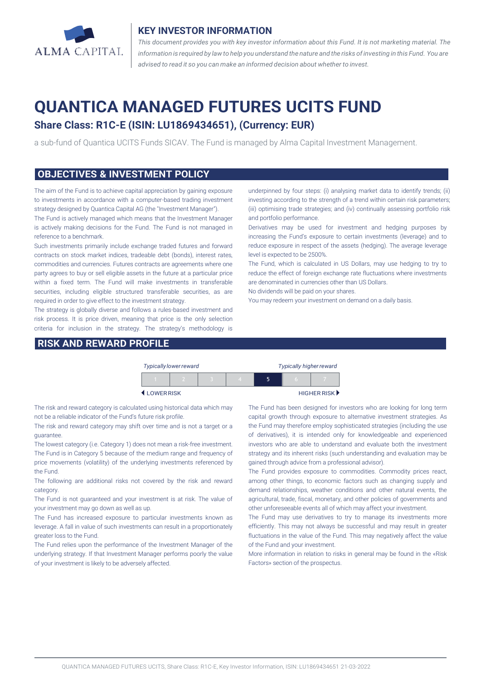

#### **KEY INVESTOR INFORMATION**

*This document provides you with key investor information about this Fund. It is not marketing material. The* information is required by law to help you understand the nature and the risks of investing in this Fund. You are *advised to read it so you can make an informed decision about whether to invest.*

# **QUANTICA MANAGED FUTURES UCITS FUND**

# **Share Class: R1C-E (ISIN: LU1869434651), (Currency: EUR)**

a sub-fund of Quantica UCITS Funds SICAV. The Fund is managed by Alma Capital Investment Management.

#### **OBJECTIVES & INVESTMENT POLICY**

The aim of the Fund is to achieve capital appreciation by gaining exposure to investments in accordance with a computer-based trading investment strategy designed by Quantica Capital AG (the "Investment Manager").

The Fund is actively managed which means that the Investment Manager is actively making decisions for the Fund. The Fund is not managed in reference to a benchmark.

Such investments primarily include exchange traded futures and forward contracts on stock market indices, tradeable debt (bonds), interest rates, commodities and currencies. Futures contracts are agreements where one party agrees to buy or sell eligible assets in the future at a particular price within a fixed term. The Fund will make investments in transferable securities, including eligible structured transferable securities, as are required in order to give effect to the investment strategy.

The strategy is globally diverse and follows a rules-based investment and risk process. It is price driven, meaning that price is the only selection criteria for inclusion in the strategy. The strategy's methodology is

#### **RISK AND REWARD PROFILE**

underpinned by four steps: (i) analysing market data to identify trends; (ii) investing according to the strength of a trend within certain risk parameters; (iii) optimising trade strategies; and (iv) continually assessing portfolio risk and portfolio performance.

Derivatives may be used for investment and hedging purposes by increasing the Fund's exposure to certain investments (leverage) and to reduce exposure in respect of the assets (hedging). The average leverage level is expected to be 2500%.

The Fund, which is calculated in US Dollars, may use hedging to try to reduce the effect of foreign exchange rate fluctuations where investments are denominated in currencies other than US Dollars.

No dividends will be paid on your shares.

You may redeem your investment on demand on a daily basis.

| <b>Typically lower reward</b> |  |  |  |  | <b>Typically higher reward</b> |   |                                   |
|-------------------------------|--|--|--|--|--------------------------------|---|-----------------------------------|
|                               |  |  |  |  |                                | n |                                   |
| LOWERRISK                     |  |  |  |  |                                |   | HIGHER RISK $\blacktriangleright$ |

The risk and reward category is calculated using historical data which may not be a reliable indicator of the Fund's future risk profile.

The risk and reward category may shift over time and is not a target or a guarantee.

The lowest category (i.e. Category 1) does not mean a risk-free investment. The Fund is in Category 5 because of the medium range and frequency of price movements (volatility) of the underlying investments referenced by the Fund.

The following are additional risks not covered by the risk and reward category.

The Fund is not guaranteed and your investment is at risk. The value of your investment may go down as well as up.

The Fund has increased exposure to particular investments known as leverage. A fall in value of such investments can result in a proportionately greater loss to the Fund.

The Fund relies upon the performance of the Investment Manager of the underlying strategy. If that Investment Manager performs poorly the value of your investment is likely to be adversely affected.

The Fund has been designed for investors who are looking for long term capital growth through exposure to alternative investment strategies. As the Fund may therefore employ sophisticated strategies (including the use of derivatives), it is intended only for knowledgeable and experienced investors who are able to understand and evaluate both the investment strategy and its inherent risks (such understanding and evaluation may be gained through advice from a professional advisor).

The Fund provides exposure to commodities. Commodity prices react, among other things, to economic factors such as changing supply and demand relationships, weather conditions and other natural events, the agricultural, trade, fiscal, monetary, and other policies of governments and other unforeseeable events all of which may affect your investment.

The Fund may use derivatives to try to manage its investments more efficiently. This may not always be successful and may result in greater fluctuations in the value of the Fund. This may negatively affect the value of the Fund and your investment.

More information in relation to risks in general may be found in the «Risk Factors» section of the prospectus.